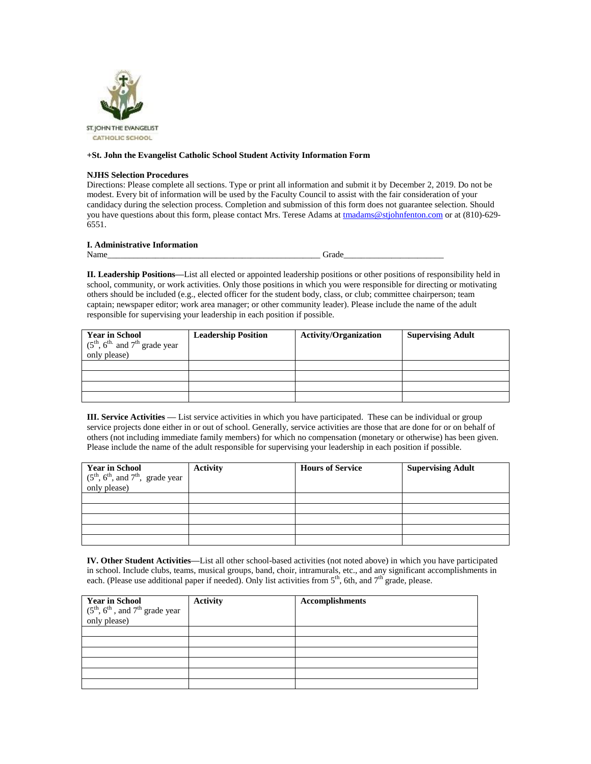

## **+St. John the Evangelist Catholic School Student Activity Information Form**

## **NJHS Selection Procedures**

Directions: Please complete all sections. Type or print all information and submit it by December 2, 2019. Do not be modest. Every bit of information will be used by the Faculty Council to assist with the fair consideration of your candidacy during the selection process. Completion and submission of this form does not guarantee selection. Should you have questions about this form, please contact Mrs. Terese Adams a[t tmadams@stjohnfenton.com](mailto:tmadams@stjohnfenton.com) or at (810)-629-6551.

## **I. Administrative Information**

Name\_\_\_\_\_\_\_\_\_\_\_\_\_\_\_\_\_\_\_\_\_\_\_\_\_\_\_\_\_\_\_\_\_\_\_\_\_\_\_\_\_\_\_\_\_\_\_\_\_ Grade\_\_\_\_\_\_\_\_\_\_\_\_\_\_\_\_\_\_\_\_\_\_\_

**II. Leadership Positions—**List all elected or appointed leadership positions or other positions of responsibility held in school, community, or work activities. Only those positions in which you were responsible for directing or motivating others should be included (e.g., elected officer for the student body, class, or club; committee chairperson; team captain; newspaper editor; work area manager; or other community leader). Please include the name of the adult responsible for supervising your leadership in each position if possible.

| <b>Year in School</b><br>$(5^{\text{th}}, 6^{\text{th}})$ and $7^{\text{th}}$ grade year<br>only please) | <b>Leadership Position</b> | <b>Activity/Organization</b> | <b>Supervising Adult</b> |
|----------------------------------------------------------------------------------------------------------|----------------------------|------------------------------|--------------------------|
|                                                                                                          |                            |                              |                          |
|                                                                                                          |                            |                              |                          |
|                                                                                                          |                            |                              |                          |
|                                                                                                          |                            |                              |                          |

**III. Service Activities —** List service activities in which you have participated. These can be individual or group service projects done either in or out of school. Generally, service activities are those that are done for or on behalf of others (not including immediate family members) for which no compensation (monetary or otherwise) has been given. Please include the name of the adult responsible for supervising your leadership in each position if possible.

|                                                                                         | <b>Activity</b> | <b>Hours of Service</b> | <b>Supervising Adult</b> |
|-----------------------------------------------------------------------------------------|-----------------|-------------------------|--------------------------|
| Year in School<br>(5 <sup>th</sup> , 6 <sup>th</sup> , and 7 <sup>th</sup> , grade year |                 |                         |                          |
| only please)                                                                            |                 |                         |                          |
|                                                                                         |                 |                         |                          |
|                                                                                         |                 |                         |                          |
|                                                                                         |                 |                         |                          |
|                                                                                         |                 |                         |                          |
|                                                                                         |                 |                         |                          |

**IV. Other Student Activities—**List all other school-based activities (not noted above) in which you have participated in school. Include clubs, teams, musical groups, band, choir, intramurals, etc., and any significant accomplishments in each. (Please use additional paper if needed). Only list activities from 5<sup>th</sup>, 6th, and 7<sup>th</sup> grade, please.

| Year in School<br>(5 <sup>th</sup> , 6 <sup>th</sup> , and 7 <sup>th</sup> grade year<br>only please) | <b>Activity</b> | <b>Accomplishments</b> |
|-------------------------------------------------------------------------------------------------------|-----------------|------------------------|
|                                                                                                       |                 |                        |
|                                                                                                       |                 |                        |
|                                                                                                       |                 |                        |
|                                                                                                       |                 |                        |
|                                                                                                       |                 |                        |
|                                                                                                       |                 |                        |